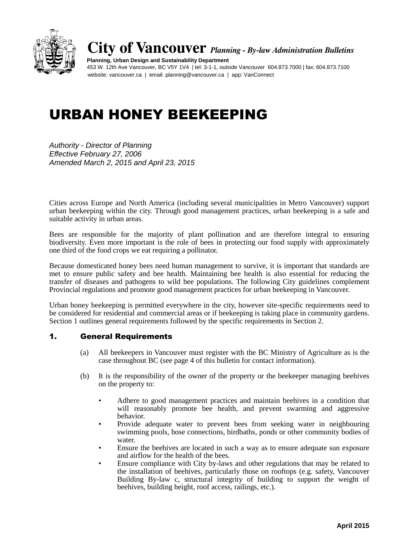

**City of Vancouver** *Planning - By-law Administration Bulletins*

**Planning, Urban Design and Sustainability Department** 453 W. 12th Ave Vancouver, BC V5Y 1V4 | tel: 3-1-1, outside Vancouver 604.873.7000 | fax: 604.873.7100 website: vancouver.ca | email: planning@vancouver.ca | app: VanConnect

# URBAN HONEY BEEKEEPING

*Authority - Director of Planning Effective February 27, 2006 Amended March 2, 2015 and April 23, 2015*

Cities across Europe and North America (including several municipalities in Metro Vancouver) support urban beekeeping within the city. Through good management practices, urban beekeeping is a safe and suitable activity in urban areas.

Bees are responsible for the majority of plant pollination and are therefore integral to ensuring biodiversity. Even more important is the role of bees in protecting our food supply with approximately one third of the food crops we eat requiring a pollinator.

Because domesticated honey bees need human management to survive, it is important that standards are met to ensure public safety and bee health. Maintaining bee health is also essential for reducing the transfer of diseases and pathogens to wild bee populations. The following City guidelines complement Provincial regulations and promote good management practices for urban beekeeping in Vancouver.

Urban honey beekeeping is permitted everywhere in the city, however site-specific requirements need to be considered for residential and commercial areas or if beekeeping is taking place in community gardens. Section 1 outlines general requirements followed by the specific requirements in Section 2.

# 1. General Requirements

- (a) All beekeepers in Vancouver must register with the BC Ministry of Agriculture as is the case throughout BC (see page 4 of this bulletin for contact information).
- (b) It is the responsibility of the owner of the property or the beekeeper managing beehives on the property to:
	- Adhere to good management practices and maintain beehives in a condition that will reasonably promote bee health, and prevent swarming and aggressive behavior.
	- Provide adequate water to prevent bees from seeking water in neighbouring swimming pools, hose connections, birdbaths, ponds or other community bodies of water.
	- Ensure the beehives are located in such a way as to ensure adequate sun exposure and airflow for the health of the bees.
	- Ensure compliance with City by-laws and other regulations that may be related to the installation of beehives, particularly those on rooftops (e.g. safety, Vancouver Building By-law c, structural integrity of building to support the weight of beehives, building height, roof access, railings, etc.).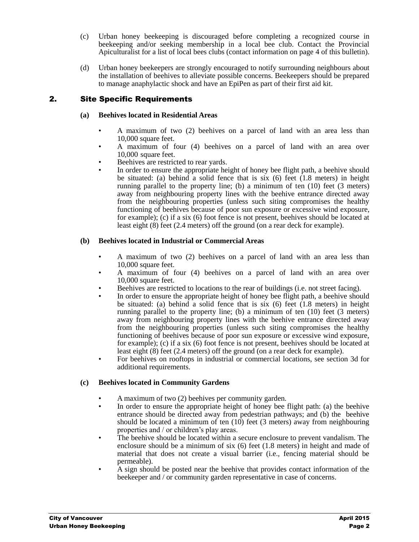- (c) Urban honey beekeeping is discouraged before completing a recognized course in beekeeping and/or seeking membership in a local bee club. Contact the Provincial Apiculturalist for a list of local bees clubs (contact information on page 4 of this bulletin).
- (d) Urban honey beekeepers are strongly encouraged to notify surrounding neighbours about the installation of beehives to alleviate possible concerns. Beekeepers should be prepared to manage anaphylactic shock and have an EpiPen as part of their first aid kit.

# 2. Site Specific Requirements

## **(a) Beehives located in Residential Areas**

- A maximum of two (2) beehives on a parcel of land with an area less than 10,000 square feet.
- A maximum of four (4) beehives on a parcel of land with an area over 10,000 square feet.
- Beehives are restricted to rear yards.
- In order to ensure the appropriate height of honey bee flight path, a beehive should be situated: (a) behind a solid fence that is six  $(6)$  feet  $(1.8 \text{ meters})$  in height running parallel to the property line; (b) a minimum of ten (10) feet (3 meters) away from neighbouring property lines with the beehive entrance directed away from the neighbouring properties (unless such siting compromises the healthy functioning of beehives because of poor sun exposure or excessive wind exposure, for example); (c) if a six (6) foot fence is not present, beehives should be located at least eight (8) feet (2.4 meters) off the ground (on a rear deck for example).

## **(b) Beehives located in Industrial or Commercial Areas**

- A maximum of two (2) beehives on a parcel of land with an area less than 10,000 square feet.
- A maximum of four (4) beehives on a parcel of land with an area over 10,000 square feet.
- Beehives are restricted to locations to the rear of buildings (i.e. not street facing).
- In order to ensure the appropriate height of honey bee flight path, a beehive should be situated: (a) behind a solid fence that is six (6) feet (1.8 meters) in height running parallel to the property line; (b) a minimum of ten (10) feet (3 meters) away from neighbouring property lines with the beehive entrance directed away from the neighbouring properties (unless such siting compromises the healthy functioning of beehives because of poor sun exposure or excessive wind exposure, for example); (c) if a six (6) foot fence is not present, beehives should be located at least eight (8) feet (2.4 meters) off the ground (on a rear deck for example).
- For beehives on rooftops in industrial or commercial locations, see section 3d for additional requirements.

# **(c) Beehives located in Community Gardens**

- A maximum of two (2) beehives per community garden.
- In order to ensure the appropriate height of honey bee flight path: (a) the beehive entrance should be directed away from pedestrian pathways; and (b) the beehive should be located a minimum of ten  $(10)$  feet  $(3 \text{ meters})$  away from neighbouring properties and / or children's play areas.
- The beehive should be located within a secure enclosure to prevent vandalism. The enclosure should be a minimum of six (6) feet (1.8 meters) in height and made of material that does not create a visual barrier (i.e., fencing material should be permeable).
- A sign should be posted near the beehive that provides contact information of the beekeeper and / or community garden representative in case of concerns.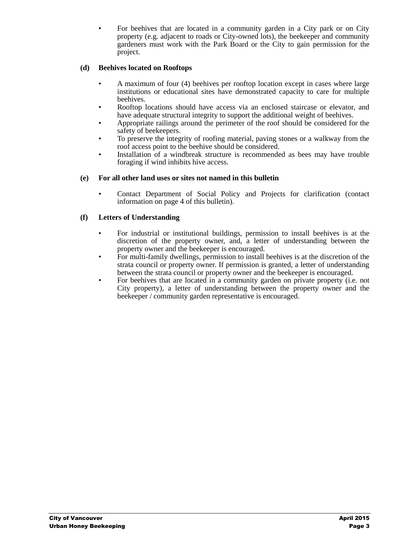• For beehives that are located in a community garden in a City park or on City property (e.g. adjacent to roads or City-owned lots), the beekeeper and community gardeners must work with the Park Board or the City to gain permission for the project.

## **(d) Beehives located on Rooftops**

- A maximum of four (4) beehives per rooftop location except in cases where large institutions or educational sites have demonstrated capacity to care for multiple beehives.
- Rooftop locations should have access via an enclosed staircase or elevator, and have adequate structural integrity to support the additional weight of beehives.
- Appropriate railings around the perimeter of the roof should be considered for the safety of beekeepers.
- To preserve the integrity of roofing material, paving stones or a walkway from the roof access point to the beehive should be considered.
- Installation of a windbreak structure is recommended as bees may have trouble foraging if wind inhibits hive access.

### **(e) For all other land uses or sites not named in this bulletin**

• Contact Department of Social Policy and Projects for clarification (contact information on page 4 of this bulletin).

## **(f) Letters of Understanding**

- For industrial or institutional buildings, permission to install beehives is at the discretion of the property owner, and, a letter of understanding between the property owner and the beekeeper is encouraged.
- For multi-family dwellings, permission to install beehives is at the discretion of the strata council or property owner. If permission is granted, a letter of understanding between the strata council or property owner and the beekeeper is encouraged.
- For beehives that are located in a community garden on private property (i.e. not City property), a letter of understanding between the property owner and the beekeeper / community garden representative is encouraged.